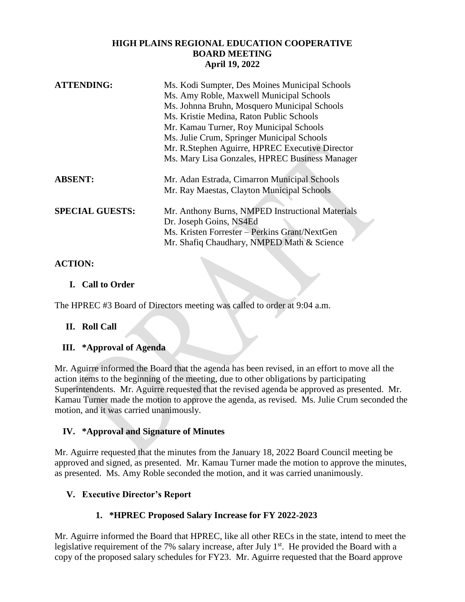### **HIGH PLAINS REGIONAL EDUCATION COOPERATIVE BOARD MEETING April 19, 2022**

| <b>ATTENDING:</b>      | Ms. Kodi Sumpter, Des Moines Municipal Schools<br>Ms. Amy Roble, Maxwell Municipal Schools<br>Ms. Johnna Bruhn, Mosquero Municipal Schools<br>Ms. Kristie Medina, Raton Public Schools<br>Mr. Kamau Turner, Roy Municipal Schools<br>Ms. Julie Crum, Springer Municipal Schools<br>Mr. R.Stephen Aguirre, HPREC Executive Director<br>Ms. Mary Lisa Gonzales, HPREC Business Manager |
|------------------------|--------------------------------------------------------------------------------------------------------------------------------------------------------------------------------------------------------------------------------------------------------------------------------------------------------------------------------------------------------------------------------------|
| <b>ABSENT:</b>         | Mr. Adan Estrada, Cimarron Municipal Schools<br>Mr. Ray Maestas, Clayton Municipal Schools                                                                                                                                                                                                                                                                                           |
| <b>SPECIAL GUESTS:</b> | Mr. Anthony Burns, NMPED Instructional Materials<br>Dr. Joseph Goins, NS4Ed<br>Ms. Kristen Forrester – Perkins Grant/NextGen<br>Mr. Shafiq Chaudhary, NMPED Math & Science                                                                                                                                                                                                           |

# **ACTION:**

### **I. Call to Order**

The HPREC #3 Board of Directors meeting was called to order at 9:04 a.m.

### **II. Roll Call**

### **III. \*Approval of Agenda**

Mr. Aguirre informed the Board that the agenda has been revised, in an effort to move all the action items to the beginning of the meeting, due to other obligations by participating Superintendents. Mr. Aguirre requested that the revised agenda be approved as presented. Mr. Kamau Turner made the motion to approve the agenda, as revised. Ms. Julie Crum seconded the motion, and it was carried unanimously.

### **IV. \*Approval and Signature of Minutes**

Mr. Aguirre requested that the minutes from the January 18, 2022 Board Council meeting be approved and signed, as presented. Mr. Kamau Turner made the motion to approve the minutes, as presented. Ms. Amy Roble seconded the motion, and it was carried unanimously.

### **V. Executive Director's Report**

# **1. \*HPREC Proposed Salary Increase for FY 2022-2023**

Mr. Aguirre informed the Board that HPREC, like all other RECs in the state, intend to meet the legislative requirement of the 7% salary increase, after July 1<sup>st</sup>. He provided the Board with a copy of the proposed salary schedules for FY23. Mr. Aguirre requested that the Board approve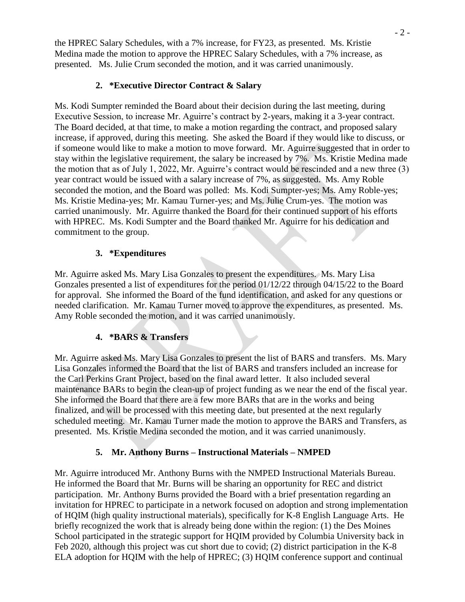the HPREC Salary Schedules, with a 7% increase, for FY23, as presented. Ms. Kristie Medina made the motion to approve the HPREC Salary Schedules, with a 7% increase, as presented. Ms. Julie Crum seconded the motion, and it was carried unanimously.

## **2. \*Executive Director Contract & Salary**

Ms. Kodi Sumpter reminded the Board about their decision during the last meeting, during Executive Session, to increase Mr. Aguirre's contract by 2-years, making it a 3-year contract. The Board decided, at that time, to make a motion regarding the contract, and proposed salary increase, if approved, during this meeting. She asked the Board if they would like to discuss, or if someone would like to make a motion to move forward. Mr. Aguirre suggested that in order to stay within the legislative requirement, the salary be increased by 7%. Ms. Kristie Medina made the motion that as of July 1, 2022, Mr. Aguirre's contract would be rescinded and a new three (3) year contract would be issued with a salary increase of 7%, as suggested. Ms. Amy Roble seconded the motion, and the Board was polled: Ms. Kodi Sumpter-yes; Ms. Amy Roble-yes; Ms. Kristie Medina-yes; Mr. Kamau Turner-yes; and Ms. Julie Crum-yes. The motion was carried unanimously. Mr. Aguirre thanked the Board for their continued support of his efforts with HPREC. Ms. Kodi Sumpter and the Board thanked Mr. Aguirre for his dedication and commitment to the group.

### **3. \*Expenditures**

Mr. Aguirre asked Ms. Mary Lisa Gonzales to present the expenditures. Ms. Mary Lisa Gonzales presented a list of expenditures for the period 01/12/22 through 04/15/22 to the Board for approval. She informed the Board of the fund identification, and asked for any questions or needed clarification. Mr. Kamau Turner moved to approve the expenditures, as presented. Ms. Amy Roble seconded the motion, and it was carried unanimously.

### **4. \*BARS & Transfers**

Mr. Aguirre asked Ms. Mary Lisa Gonzales to present the list of BARS and transfers. Ms. Mary Lisa Gonzales informed the Board that the list of BARS and transfers included an increase for the Carl Perkins Grant Project, based on the final award letter. It also included several maintenance BARs to begin the clean-up of project funding as we near the end of the fiscal year. She informed the Board that there are a few more BARs that are in the works and being finalized, and will be processed with this meeting date, but presented at the next regularly scheduled meeting. Mr. Kamau Turner made the motion to approve the BARS and Transfers, as presented. Ms. Kristie Medina seconded the motion, and it was carried unanimously.

### **5. Mr. Anthony Burns – Instructional Materials – NMPED**

Mr. Aguirre introduced Mr. Anthony Burns with the NMPED Instructional Materials Bureau. He informed the Board that Mr. Burns will be sharing an opportunity for REC and district participation. Mr. Anthony Burns provided the Board with a brief presentation regarding an invitation for HPREC to participate in a network focused on adoption and strong implementation of HQIM (high quality instructional materials), specifically for K-8 English Language Arts. He briefly recognized the work that is already being done within the region: (1) the Des Moines School participated in the strategic support for HQIM provided by Columbia University back in Feb 2020, although this project was cut short due to covid; (2) district participation in the K-8 ELA adoption for HQIM with the help of HPREC; (3) HQIM conference support and continual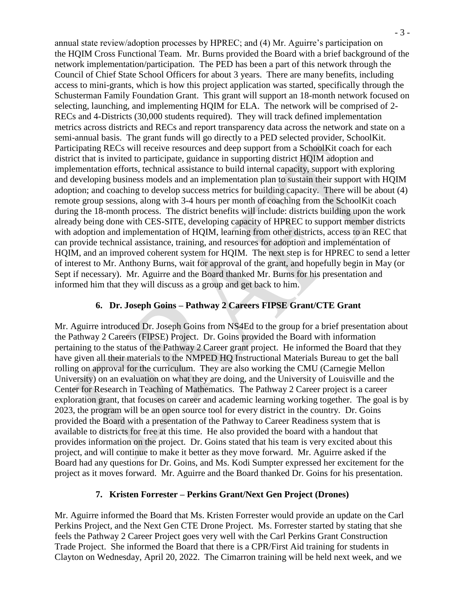annual state review/adoption processes by HPREC; and (4) Mr. Aguirre's participation on the HQIM Cross Functional Team. Mr. Burns provided the Board with a brief background of the network implementation/participation. The PED has been a part of this network through the Council of Chief State School Officers for about 3 years. There are many benefits, including access to mini-grants, which is how this project application was started, specifically through the Schusterman Family Foundation Grant. This grant will support an 18-month network focused on selecting, launching, and implementing HQIM for ELA. The network will be comprised of 2- RECs and 4-Districts (30,000 students required). They will track defined implementation metrics across districts and RECs and report transparency data across the network and state on a semi-annual basis. The grant funds will go directly to a PED selected provider, SchoolKit. Participating RECs will receive resources and deep support from a SchoolKit coach for each district that is invited to participate, guidance in supporting district HQIM adoption and implementation efforts, technical assistance to build internal capacity, support with exploring and developing business models and an implementation plan to sustain their support with HQIM adoption; and coaching to develop success metrics for building capacity. There will be about (4) remote group sessions, along with 3-4 hours per month of coaching from the SchoolKit coach during the 18-month process. The district benefits will include: districts building upon the work already being done with CES-SITE, developing capacity of HPREC to support member districts with adoption and implementation of HQIM, learning from other districts, access to an REC that can provide technical assistance, training, and resources for adoption and implementation of HQIM, and an improved coherent system for HQIM. The next step is for HPREC to send a letter of interest to Mr. Anthony Burns, wait for approval of the grant, and hopefully begin in May (or Sept if necessary). Mr. Aguirre and the Board thanked Mr. Burns for his presentation and informed him that they will discuss as a group and get back to him.

### **6. Dr. Joseph Goins – Pathway 2 Careers FIPSE Grant/CTE Grant**

Mr. Aguirre introduced Dr. Joseph Goins from NS4Ed to the group for a brief presentation about the Pathway 2 Careers (FIPSE) Project. Dr. Goins provided the Board with information pertaining to the status of the Pathway 2 Career grant project. He informed the Board that they have given all their materials to the NMPED HQ Instructional Materials Bureau to get the ball rolling on approval for the curriculum. They are also working the CMU (Carnegie Mellon University) on an evaluation on what they are doing, and the University of Louisville and the Center for Research in Teaching of Mathematics. The Pathway 2 Career project is a career exploration grant, that focuses on career and academic learning working together. The goal is by 2023, the program will be an open source tool for every district in the country. Dr. Goins provided the Board with a presentation of the Pathway to Career Readiness system that is available to districts for free at this time. He also provided the board with a handout that provides information on the project. Dr. Goins stated that his team is very excited about this project, and will continue to make it better as they move forward. Mr. Aguirre asked if the Board had any questions for Dr. Goins, and Ms. Kodi Sumpter expressed her excitement for the project as it moves forward. Mr. Aguirre and the Board thanked Dr. Goins for his presentation.

### **7. Kristen Forrester – Perkins Grant/Next Gen Project (Drones)**

Mr. Aguirre informed the Board that Ms. Kristen Forrester would provide an update on the Carl Perkins Project, and the Next Gen CTE Drone Project. Ms. Forrester started by stating that she feels the Pathway 2 Career Project goes very well with the Carl Perkins Grant Construction Trade Project. She informed the Board that there is a CPR/First Aid training for students in Clayton on Wednesday, April 20, 2022. The Cimarron training will be held next week, and we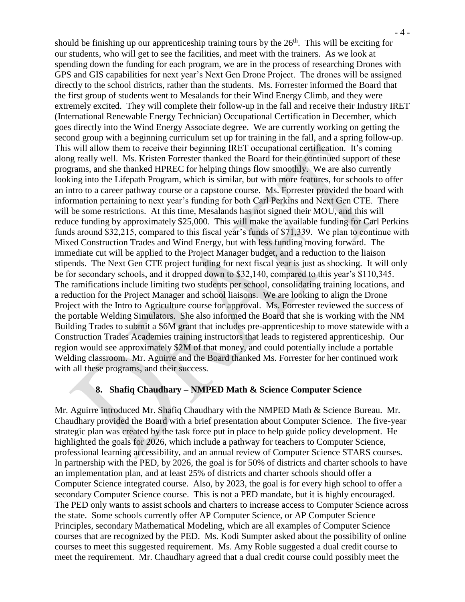should be finishing up our apprenticeship training tours by the  $26<sup>th</sup>$ . This will be exciting for our students, who will get to see the facilities, and meet with the trainers. As we look at spending down the funding for each program, we are in the process of researching Drones with GPS and GIS capabilities for next year's Next Gen Drone Project. The drones will be assigned directly to the school districts, rather than the students. Ms. Forrester informed the Board that the first group of students went to Mesalands for their Wind Energy Climb, and they were extremely excited. They will complete their follow-up in the fall and receive their Industry IRET (International Renewable Energy Technician) Occupational Certification in December, which goes directly into the Wind Energy Associate degree. We are currently working on getting the second group with a beginning curriculum set up for training in the fall, and a spring follow-up. This will allow them to receive their beginning IRET occupational certification. It's coming along really well. Ms. Kristen Forrester thanked the Board for their continued support of these programs, and she thanked HPREC for helping things flow smoothly. We are also currently looking into the Lifepath Program, which is similar, but with more features, for schools to offer an intro to a career pathway course or a capstone course. Ms. Forrester provided the board with information pertaining to next year's funding for both Carl Perkins and Next Gen CTE. There will be some restrictions. At this time, Mesalands has not signed their MOU, and this will reduce funding by approximately \$25,000. This will make the available funding for Carl Perkins funds around \$32,215, compared to this fiscal year's funds of \$71,339. We plan to continue with Mixed Construction Trades and Wind Energy, but with less funding moving forward. The immediate cut will be applied to the Project Manager budget, and a reduction to the liaison stipends. The Next Gen CTE project funding for next fiscal year is just as shocking. It will only be for secondary schools, and it dropped down to \$32,140, compared to this year's \$110,345. The ramifications include limiting two students per school, consolidating training locations, and a reduction for the Project Manager and school liaisons. We are looking to align the Drone Project with the Intro to Agriculture course for approval. Ms. Forrester reviewed the success of the portable Welding Simulators. She also informed the Board that she is working with the NM Building Trades to submit a \$6M grant that includes pre-apprenticeship to move statewide with a Construction Trades Academies training instructors that leads to registered apprenticeship. Our region would see approximately \$2M of that money, and could potentially include a portable Welding classroom. Mr. Aguirre and the Board thanked Ms. Forrester for her continued work with all these programs, and their success.

#### **8. Shafiq Chaudhary – NMPED Math & Science Computer Science**

Mr. Aguirre introduced Mr. Shafiq Chaudhary with the NMPED Math & Science Bureau. Mr. Chaudhary provided the Board with a brief presentation about Computer Science. The five-year strategic plan was created by the task force put in place to help guide policy development. He highlighted the goals for 2026, which include a pathway for teachers to Computer Science, professional learning accessibility, and an annual review of Computer Science STARS courses. In partnership with the PED, by 2026, the goal is for 50% of districts and charter schools to have an implementation plan, and at least 25% of districts and charter schools should offer a Computer Science integrated course. Also, by 2023, the goal is for every high school to offer a secondary Computer Science course. This is not a PED mandate, but it is highly encouraged. The PED only wants to assist schools and charters to increase access to Computer Science across the state. Some schools currently offer AP Computer Science, or AP Computer Science Principles, secondary Mathematical Modeling, which are all examples of Computer Science courses that are recognized by the PED. Ms. Kodi Sumpter asked about the possibility of online courses to meet this suggested requirement. Ms. Amy Roble suggested a dual credit course to meet the requirement. Mr. Chaudhary agreed that a dual credit course could possibly meet the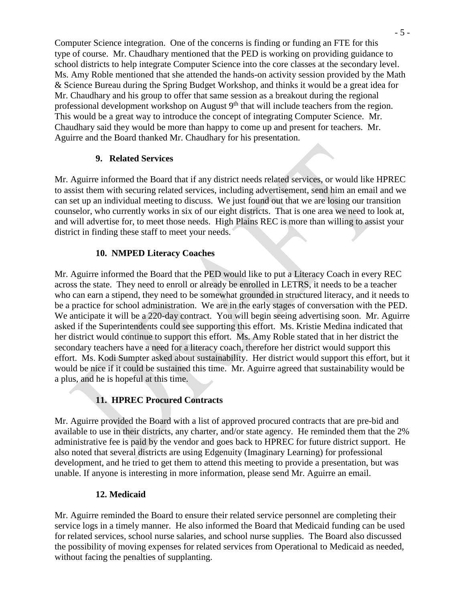Computer Science integration. One of the concerns is finding or funding an FTE for this type of course. Mr. Chaudhary mentioned that the PED is working on providing guidance to school districts to help integrate Computer Science into the core classes at the secondary level. Ms. Amy Roble mentioned that she attended the hands-on activity session provided by the Math & Science Bureau during the Spring Budget Workshop, and thinks it would be a great idea for Mr. Chaudhary and his group to offer that same session as a breakout during the regional professional development workshop on August 9<sup>th</sup> that will include teachers from the region. This would be a great way to introduce the concept of integrating Computer Science. Mr. Chaudhary said they would be more than happy to come up and present for teachers. Mr. Aguirre and the Board thanked Mr. Chaudhary for his presentation.

### **9. Related Services**

Mr. Aguirre informed the Board that if any district needs related services, or would like HPREC to assist them with securing related services, including advertisement, send him an email and we can set up an individual meeting to discuss. We just found out that we are losing our transition counselor, who currently works in six of our eight districts. That is one area we need to look at, and will advertise for, to meet those needs. High Plains REC is more than willing to assist your district in finding these staff to meet your needs.

## **10. NMPED Literacy Coaches**

Mr. Aguirre informed the Board that the PED would like to put a Literacy Coach in every REC across the state. They need to enroll or already be enrolled in LETRS, it needs to be a teacher who can earn a stipend, they need to be somewhat grounded in structured literacy, and it needs to be a practice for school administration. We are in the early stages of conversation with the PED. We anticipate it will be a 220-day contract. You will begin seeing advertising soon. Mr. Aguirre asked if the Superintendents could see supporting this effort. Ms. Kristie Medina indicated that her district would continue to support this effort. Ms. Amy Roble stated that in her district the secondary teachers have a need for a literacy coach, therefore her district would support this effort. Ms. Kodi Sumpter asked about sustainability. Her district would support this effort, but it would be nice if it could be sustained this time. Mr. Aguirre agreed that sustainability would be a plus, and he is hopeful at this time.

# **11. HPREC Procured Contracts**

Mr. Aguirre provided the Board with a list of approved procured contracts that are pre-bid and available to use in their districts, any charter, and/or state agency. He reminded them that the 2% administrative fee is paid by the vendor and goes back to HPREC for future district support. He also noted that several districts are using Edgenuity (Imaginary Learning) for professional development, and he tried to get them to attend this meeting to provide a presentation, but was unable. If anyone is interesting in more information, please send Mr. Aguirre an email.

### **12. Medicaid**

Mr. Aguirre reminded the Board to ensure their related service personnel are completing their service logs in a timely manner. He also informed the Board that Medicaid funding can be used for related services, school nurse salaries, and school nurse supplies. The Board also discussed the possibility of moving expenses for related services from Operational to Medicaid as needed, without facing the penalties of supplanting.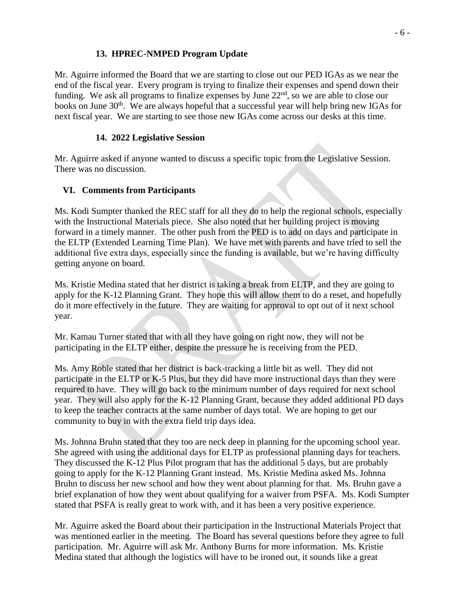## **13. HPREC-NMPED Program Update**

Mr. Aguirre informed the Board that we are starting to close out our PED IGAs as we near the end of the fiscal year. Every program is trying to finalize their expenses and spend down their funding. We ask all programs to finalize expenses by June  $22<sup>nd</sup>$ , so we are able to close our books on June 30<sup>th</sup>. We are always hopeful that a successful year will help bring new IGAs for next fiscal year. We are starting to see those new IGAs come across our desks at this time.

## **14. 2022 Legislative Session**

Mr. Aguirre asked if anyone wanted to discuss a specific topic from the Legislative Session. There was no discussion.

# **VI. Comments from Participants**

Ms. Kodi Sumpter thanked the REC staff for all they do to help the regional schools, especially with the Instructional Materials piece. She also noted that her building project is moving forward in a timely manner. The other push from the PED is to add on days and participate in the ELTP (Extended Learning Time Plan). We have met with parents and have tried to sell the additional five extra days, especially since the funding is available, but we're having difficulty getting anyone on board.

Ms. Kristie Medina stated that her district is taking a break from ELTP, and they are going to apply for the K-12 Planning Grant. They hope this will allow them to do a reset, and hopefully do it more effectively in the future. They are waiting for approval to opt out of it next school year.

Mr. Kamau Turner stated that with all they have going on right now, they will not be participating in the ELTP either, despite the pressure he is receiving from the PED.

Ms. Amy Roble stated that her district is back-tracking a little bit as well. They did not participate in the ELTP or K-5 Plus, but they did have more instructional days than they were required to have. They will go back to the minimum number of days required for next school year. They will also apply for the K-12 Planning Grant, because they added additional PD days to keep the teacher contracts at the same number of days total. We are hoping to get our community to buy in with the extra field trip days idea.

Ms. Johnna Bruhn stated that they too are neck deep in planning for the upcoming school year. She agreed with using the additional days for ELTP as professional planning days for teachers. They discussed the K-12 Plus Pilot program that has the additional 5 days, but are probably going to apply for the K-12 Planning Grant instead. Ms. Kristie Medina asked Ms. Johnna Bruhn to discuss her new school and how they went about planning for that. Ms. Bruhn gave a brief explanation of how they went about qualifying for a waiver from PSFA. Ms. Kodi Sumpter stated that PSFA is really great to work with, and it has been a very positive experience.

Mr. Aguirre asked the Board about their participation in the Instructional Materials Project that was mentioned earlier in the meeting. The Board has several questions before they agree to full participation. Mr. Aguirre will ask Mr. Anthony Burns for more information. Ms. Kristie Medina stated that although the logistics will have to be ironed out, it sounds like a great